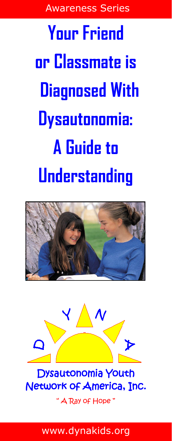Awareness Series

**Your Friend or Classmate is Diagnosed With Dysautonomia: A Guide to Understanding**





Dysautonomia Youth Network of America, Inc.

" A Ray of Hope "

www.dynakids.org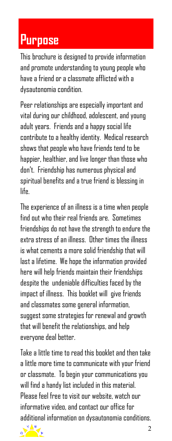### **Purpose**

This brochure is designed to provide information and promote understanding to young people who have a friend or a classmate afflicted with a dysautonomia condition.

Peer relationships are especially important and vital during our childhood, adolescent, and young adult years. Friends and a happy social life contribute to a healthy identity. Medical research shows that people who have friends tend to be happier, healthier, and live longer than those who don't. Friendship has numerous physical and spiritual benefits and a true friend is blessing in life.

The experience of an illness is a time when people find out who their real friends are. Sometimes friendships do not have the strength to endure the extra stress of an illness. Other times the illness is what cements a more solid friendship that will last a lifetime. We hope the information provided here will help friends maintain their friendships despite the undeniable difficulties faced by the impact of illness. This booklet will give friends and classmates some general information, suggest some strategies for renewal and growth that will benefit the relationships, and help everyone deal better.

Take a little time to read this booklet and then take a little more time to communicate with your friend or classmate. To begin your communications you will find a handy list included in this material. Please feel free to visit our website, watch our informative video, and contact our office for additional information on dysautonomia conditions.

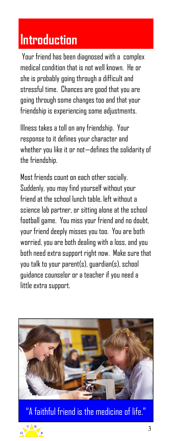### **Introduction**

Your friend has been diagnosed with a complex medical condition that is not well known. He or she is probably going through a difficult and stressful time. Chances are good that you are going through some changes too and that your friendship is experiencing some adjustments.

Illness takes a toll on any friendship. Your response to it defines your character and whether you like it or not—defines the solidarity of the friendship.

Most friends count on each other socially. Suddenly, you may find yourself without your friend at the school lunch table, left without a science lab partner, or sitting alone at the school football game. You miss your friend and no doubt, your friend deeply misses you too. You are both worried, you are both dealing with a loss, and you both need extra support right now. Make sure that you talk to your parent(s), guardian(s), school guidance counselor or a teacher if you need a little extra support.



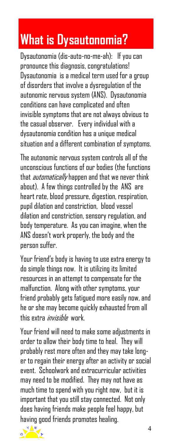## **What is Dysautonomia?**

Dysautonomia (dis-auto-no-me-ah): If you can pronounce this diagnosis, congratulations! Dysautonomia is a medical term used for a group of disorders that involve a dysregulation of the autonomic nervous system (ANS). Dysautonomia conditions can have complicated and often invisible symptoms that are not always obvious to the casual observer. Every individual with a dysautonomia condition has a unique medical situation and a different combination of symptoms.

The autonomic nervous system controls all of the unconscious functions of our bodies (the functions that *automatically* happen and that we never think about). A few things controlled by the ANS are heart rate, blood pressure, digestion, respiration, pupil dilation and constriction. blood vessel dilation and constriction, sensory regulation, and body temperature. As you can imagine, when the ANS doesn't work properly, the body and the person suffer.

Your friend's body is having to use extra energy to do simple things now. It is utilizing its limited resources in an attempt to compensate for the malfunction. Along with other symptoms, your friend probably gets fatigued more easily now, and he or she may become quickly exhausted from all this extra *invisihle* work.

Your friend will need to make some adjustments in order to allow their body time to heal. They will probably rest more often and they may take longer to regain their energy after an activity or social event. Schoolwork and extracurricular activities may need to be modified. They may not have as much time to spend with you right now, but it is important that you still stay connected. Not only does having friends make people feel happy, but having good friends promotes healing.

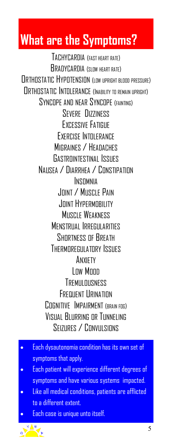### **What are the Symptoms?**

TACHYCARDIA (FAST HEART RATE) BRADYCARDIA (SLOW HEART RATE) **ORTHOSTATIC HYPOTENSION** (IN UPRIGHT BLOOD PRESSURE) ORTHOSTATIC INTOLERANCE (INABILITY TO REMAIN UPRIGHT) SYNCOPE AND NEAR SYNCOPE (FAINTING) SEVERE DIZZINESS EXCESSIVE FATIGUE EXERCISE INTOLERANCE MIGRAINES / HEADACHES GASTROINTESTINAL ISSUES NAUSEA / DIARRHEA / CONSTIPATION INSOMNIA JOINT / MUSCLE PAIN JOINT HYPERMOBILITY **MUSCLE WEAKNESS MENSTRUAL IRREGULARITIES** SHORTNESS OF BREATH THERMOREGULATORY ISSUES ANXIETY Low Moon TREMIII DUSNESS **FREQUENT LIRINATION** COGNITIVE IMPAIRMENT (BRAIN FOG) VISUAL BLURRING OR TUNNELING SFIZURES / CONVILISIONS

- Each dysautonomia condition has its own set of symptoms that apply.
- Each patient will experience different degrees of symptoms and have various systems impacted.
- Like all medical conditions, patients are afflicted to a different extent.

Each case is unique unto itself.

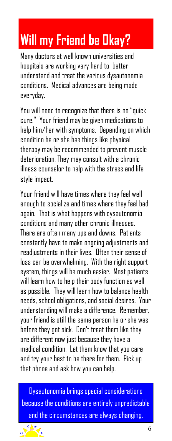## **Will my Friend be Okay?**

Many doctors at well known universities and hospitals are working very hard to better understand and treat the various dysautonomia conditions. Medical advances are being made everyday.

You will need to recognize that there is no "quick cure." Your friend may be given medications to help him/her with symptoms. Depending on which condition he or she has things like physical therapy may be recommended to prevent muscle deterioration. They may consult with a chronic illness counselor to help with the stress and life style impact.

Your friend will have times where they feel well enough to socialize and times where they feel bad again. That is what happens with dysautonomia conditions and many other chronic illnesses. There are often many ups and downs. Patients constantly have to make ongoing adjustments and readjustments in their lives. Often their sense of loss can be overwhelming. With the right support system, things will be much easier. Most patients will learn how to help their body function as well as possible. They will learn how to balance health needs, school obligations, and social desires. Your understanding will make a difference. Remember, your friend is still the same person he or she was before they got sick. Don't treat them like they are different now just because they have a medical condition. Let them know that you care and try your best to be there for them. Pick up that phone and ask how you can help.

Dysautonomia brings special considerations because the conditions are entirely unpredictable and the circumstances are always changing.

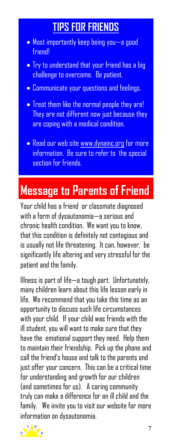#### **TIPS FOR FRIENDS**

- Most importantly keep being you—a good friend!
- Try to understand that your friend has a big challenge to overcome. Be patient.
- Communicate your questions and feelings.
- Treat them like the normal people they are! They are not different now just because they are coping with a medical condition.
- Read our web site www.dynainc.org for more information. Be sure to refer to the special section for friends.

#### **Message to Parents of Friend**

Your child has a friend or classmate diagnosed with a form of dysautonomia—a serious and chronic health condition. We want you to know, that this condition is definitely not contagious and is usually not life threatening. It can, however, be significantly life altering and very stressful for the patient and the family.

Illness is part of life—a tough part. Unfortunately, many children learn about this life lesson early in life. We recommend that you take this time as an opportunity to discuss such life circumstances with your child. If your child was friends with the ill student, you will want to make sure that they have the emotional support they need. Help them to maintain their friendship. Pick up the phone and call the friend's house and talk to the parents and just offer your concern. This can be a critical time for understanding and growth for our children (and sometimes for us). A caring community truly can make a difference for an ill child and the family. We invite you to visit our website for more information on dysautonomia.

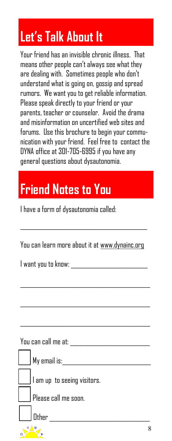# **Let's Talk About It**

Your friend has an invisible chronic illness. That means other people can't always see what they are dealing with. Sometimes people who don't understand what is going on, gossip and spread rumors. We want you to get reliable information. Please speak directly to your friend or your parents, teacher or counselor. Avoid the drama and misinformation on uncertified web sites and forums. Use this brochure to begin your communication with your friend. Feel free to contact the DYNA office at 301-705-6995 if you have any general questions about dysautonomia.

# **Friend Notes to You**

I have a form of dysautonomia called:

You can learn more about it at www.dynainc.org

\_\_\_\_\_\_\_\_\_\_\_\_\_\_\_\_\_\_\_\_\_\_\_\_\_\_\_\_\_\_\_\_\_\_\_\_\_\_\_\_\_\_\_

I want you to know: \_\_\_\_\_\_\_\_\_\_\_\_\_\_\_\_\_\_\_\_\_\_\_\_\_\_

You can call me at: \_\_\_\_\_\_\_\_\_\_\_\_\_\_\_\_\_\_\_\_\_\_\_\_\_\_\_

|             | My email is:                |
|-------------|-----------------------------|
|             | I am up to seeing visitors. |
|             |                             |
|             | Please call me soon.        |
|             | Other                       |
| $\sqrt{4N}$ |                             |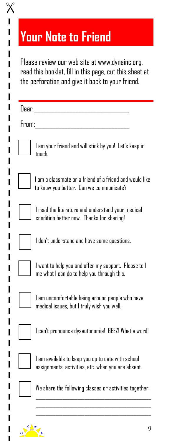|       | read this booklet, fill in this page, cut this sheet at<br>the perforation and give it back to your friend. |
|-------|-------------------------------------------------------------------------------------------------------------|
| Dear  |                                                                                                             |
| From: |                                                                                                             |
|       | I am your friend and will stick by you! Let's keep in<br>tnuch.                                             |
|       | I am a classmate or a friend of a friend and would like<br>to know you better. Can we communicate?          |
|       | I read the literature and understand your medical<br>condition better now. Thanks for sharing!              |
|       | I don't understand and have some questions.                                                                 |
|       | I want to help you and offer my support. Please tell<br>me what I can do to help you through this.          |
|       | I am uncomfortable being around people who have<br>medical issues, but I truly wish you well.               |
|       | I can't pronounce dysautonomia! GEEZ! What a word!                                                          |
|       | I am available to keep you up to date with school<br>assignments, activities, etc. when you are absent.     |
|       | We share the following classes or activities together:                                                      |

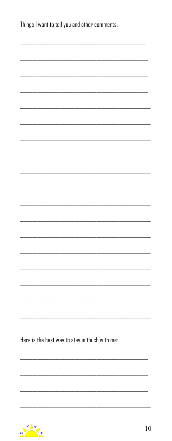| Things I want to tell you and other comments:  |  |  |  |  |  |  |  |
|------------------------------------------------|--|--|--|--|--|--|--|
|                                                |  |  |  |  |  |  |  |
|                                                |  |  |  |  |  |  |  |
|                                                |  |  |  |  |  |  |  |
|                                                |  |  |  |  |  |  |  |
|                                                |  |  |  |  |  |  |  |
|                                                |  |  |  |  |  |  |  |
|                                                |  |  |  |  |  |  |  |
|                                                |  |  |  |  |  |  |  |
|                                                |  |  |  |  |  |  |  |
|                                                |  |  |  |  |  |  |  |
|                                                |  |  |  |  |  |  |  |
|                                                |  |  |  |  |  |  |  |
|                                                |  |  |  |  |  |  |  |
|                                                |  |  |  |  |  |  |  |
|                                                |  |  |  |  |  |  |  |
|                                                |  |  |  |  |  |  |  |
|                                                |  |  |  |  |  |  |  |
| Here is the best way to stay in touch with me: |  |  |  |  |  |  |  |
|                                                |  |  |  |  |  |  |  |
|                                                |  |  |  |  |  |  |  |
|                                                |  |  |  |  |  |  |  |
|                                                |  |  |  |  |  |  |  |

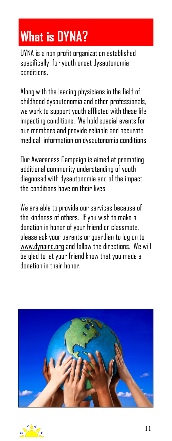## **What is DYNA?**

DYNA is a non profit organization established specifically for youth onset dysautonomia conditions.

Along with the leading physicians in the field of childhood dysautonomia and other professionals, we work to support youth afflicted with these life impacting conditions. We hold special events for our members and provide reliable and accurate medical information on dysautonomia conditions.

Our Awareness Campaign is aimed at promoting additional community understanding of youth diagnosed with dysautonomia and of the impact the conditions have on their lives.

We are able to provide our services because of the kindness of others. If you wish to make a donation in honor of your friend or classmate, please ask your parents or guardian to log on to www.dynainc.org and follow the directions. We will be glad to let your friend know that you made a donation in their honor.